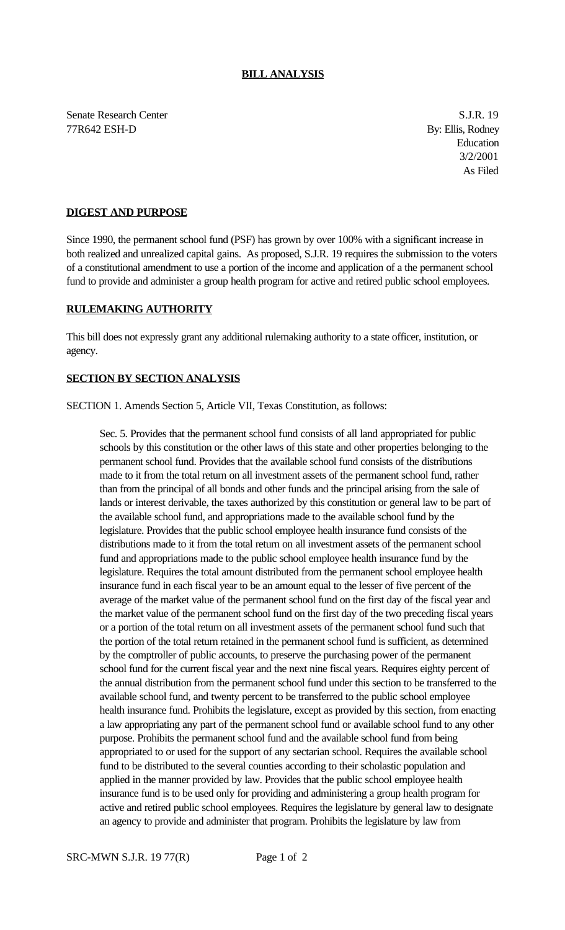Senate Research Center S.J.R. 19 77R642 ESH-D By: Ellis, Rodney

Education 3/2/2001 As Filed

## **DIGEST AND PURPOSE**

Since 1990, the permanent school fund (PSF) has grown by over 100% with a significant increase in both realized and unrealized capital gains. As proposed, S.J.R. 19 requires the submission to the voters of a constitutional amendment to use a portion of the income and application of a the permanent school fund to provide and administer a group health program for active and retired public school employees.

## **RULEMAKING AUTHORITY**

This bill does not expressly grant any additional rulemaking authority to a state officer, institution, or agency.

## **SECTION BY SECTION ANALYSIS**

SECTION 1. Amends Section 5, Article VII, Texas Constitution, as follows:

Sec. 5. Provides that the permanent school fund consists of all land appropriated for public schools by this constitution or the other laws of this state and other properties belonging to the permanent school fund. Provides that the available school fund consists of the distributions made to it from the total return on all investment assets of the permanent school fund, rather than from the principal of all bonds and other funds and the principal arising from the sale of lands or interest derivable, the taxes authorized by this constitution or general law to be part of the available school fund, and appropriations made to the available school fund by the legislature. Provides that the public school employee health insurance fund consists of the distributions made to it from the total return on all investment assets of the permanent school fund and appropriations made to the public school employee health insurance fund by the legislature. Requires the total amount distributed from the permanent school employee health insurance fund in each fiscal year to be an amount equal to the lesser of five percent of the average of the market value of the permanent school fund on the first day of the fiscal year and the market value of the permanent school fund on the first day of the two preceding fiscal years or a portion of the total return on all investment assets of the permanent school fund such that the portion of the total return retained in the permanent school fund is sufficient, as determined by the comptroller of public accounts, to preserve the purchasing power of the permanent school fund for the current fiscal year and the next nine fiscal years. Requires eighty percent of the annual distribution from the permanent school fund under this section to be transferred to the available school fund, and twenty percent to be transferred to the public school employee health insurance fund. Prohibits the legislature, except as provided by this section, from enacting a law appropriating any part of the permanent school fund or available school fund to any other purpose. Prohibits the permanent school fund and the available school fund from being appropriated to or used for the support of any sectarian school. Requires the available school fund to be distributed to the several counties according to their scholastic population and applied in the manner provided by law. Provides that the public school employee health insurance fund is to be used only for providing and administering a group health program for active and retired public school employees. Requires the legislature by general law to designate an agency to provide and administer that program. Prohibits the legislature by law from